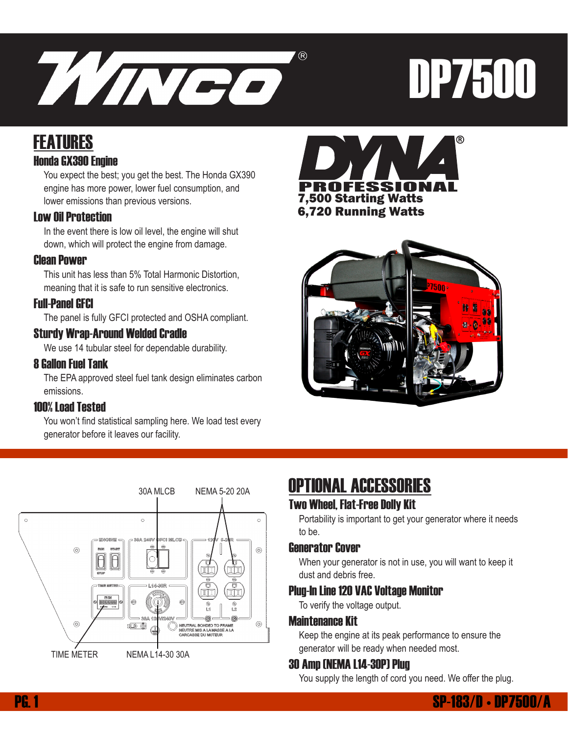

# DP7500

## FEATURES

#### Honda GX390 Engine

You expect the best; you get the best. The Honda GX390 engine has more power, lower fuel consumption, and lower emissions than previous versions.

#### Low Oil Protection

In the event there is low oil level, the engine will shut down, which will protect the engine from damage.

#### Clean Power

This unit has less than 5% Total Harmonic Distortion, meaning that it is safe to run sensitive electronics.

#### Full-Panel GFCI

The panel is fully GFCI protected and OSHA compliant.

#### Sturdy Wrap-Around Welded Cradle

We use 14 tubular steel for dependable durability.

#### 8 Gallon Fuel Tank

The EPA approved steel fuel tank design eliminates carbon emissions.

#### 100% Load Tested

 You won't find statistical sampling here. We load test every generator before it leaves our facility.







## OPTIONAL ACCESSORIES

#### Two Wheel, Flat-Free Dolly Kit

Portability is important to get your generator where it needs to be.

#### Generator Cover

When your generator is not in use, you will want to keep it dust and debris free.

#### Plug-In Line 120 VAC Voltage Monitor

To verify the voltage output.

#### Maintenance Kit

Keep the engine at its peak performance to ensure the generator will be ready when needed most.

#### 30 Amp (NEMA L14-30P) Plug

You supply the length of cord you need. We offer the plug.